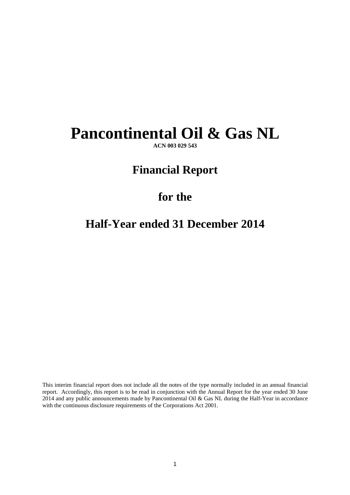# **Pancontinental Oil & Gas NL**

**ACN 003 029 543** 

## **Financial Report**

### **for the**

# **Half-Year ended 31 December 2014**

This interim financial report does not include all the notes of the type normally included in an annual financial report. Accordingly, this report is to be read in conjunction with the Annual Report for the year ended 30 June 2014 and any public announcements made by Pancontinental Oil & Gas NL during the Half-Year in accordance with the continuous disclosure requirements of the Corporations Act 2001.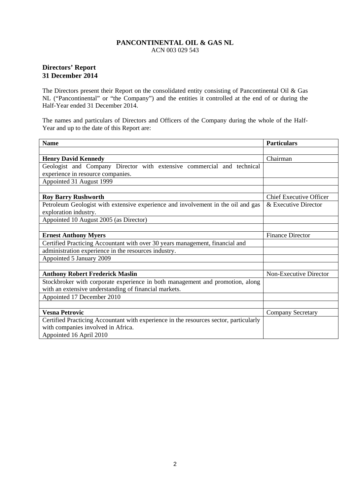### **Directors' Report 31 December 2014**

The Directors present their Report on the consolidated entity consisting of Pancontinental Oil & Gas NL ("Pancontinental" or "the Company") and the entities it controlled at the end of or during the Half-Year ended 31 December 2014.

The names and particulars of Directors and Officers of the Company during the whole of the Half-Year and up to the date of this Report are:

| <b>Name</b>                                                                           | <b>Particulars</b>             |
|---------------------------------------------------------------------------------------|--------------------------------|
|                                                                                       |                                |
| <b>Henry David Kennedy</b>                                                            | Chairman                       |
| Geologist and Company Director with extensive commercial and technical                |                                |
| experience in resource companies.                                                     |                                |
| Appointed 31 August 1999                                                              |                                |
|                                                                                       |                                |
| <b>Roy Barry Rushworth</b>                                                            | <b>Chief Executive Officer</b> |
| Petroleum Geologist with extensive experience and involvement in the oil and gas      | & Executive Director           |
| exploration industry.                                                                 |                                |
| Appointed 10 August 2005 (as Director)                                                |                                |
|                                                                                       |                                |
| <b>Ernest Anthony Myers</b>                                                           | <b>Finance Director</b>        |
| Certified Practicing Accountant with over 30 years management, financial and          |                                |
| administration experience in the resources industry.                                  |                                |
| Appointed 5 January 2009                                                              |                                |
|                                                                                       |                                |
| <b>Anthony Robert Frederick Maslin</b>                                                | Non-Executive Director         |
| Stockbroker with corporate experience in both management and promotion, along         |                                |
| with an extensive understanding of financial markets.                                 |                                |
| Appointed 17 December 2010                                                            |                                |
|                                                                                       |                                |
| <b>Vesna Petrovic</b>                                                                 | <b>Company Secretary</b>       |
| Certified Practicing Accountant with experience in the resources sector, particularly |                                |
| with companies involved in Africa.                                                    |                                |
| Appointed 16 April 2010                                                               |                                |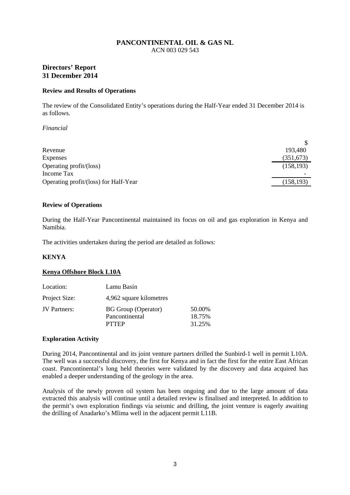### **Directors' Report 31 December 2014**

#### **Review and Results of Operations**

The review of the Consolidated Entity's operations during the Half-Year ended 31 December 2014 is as follows.

#### *Financial*

| Revenue                               | 193,480    |
|---------------------------------------|------------|
| Expenses                              | (351, 673) |
| Operating profit/(loss)               | (158, 193) |
| Income Tax                            |            |
| Operating profit/(loss) for Half-Year | (158, 193) |

#### **Review of Operations**

During the Half-Year Pancontinental maintained its focus on oil and gas exploration in Kenya and Namibia.

The activities undertaken during the period are detailed as follows:

#### **KENYA**

#### **Kenya Offshore Block L10A**

| Location:     | Lamu Basin                                                   |                            |
|---------------|--------------------------------------------------------------|----------------------------|
| Project Size: | 4,962 square kilometres                                      |                            |
| JV Partners:  | <b>BG</b> Group (Operator)<br>Pancontinental<br><b>PTTEP</b> | 50.00%<br>18.75%<br>31.25% |

#### **Exploration Activity**

During 2014, Pancontinental and its joint venture partners drilled the Sunbird-1 well in permit L10A. The well was a successful discovery, the first for Kenya and in fact the first for the entire East African coast. Pancontinental's long held theories were validated by the discovery and data acquired has enabled a deeper understanding of the geology in the area.

Analysis of the newly proven oil system has been ongoing and due to the large amount of data extracted this analysis will continue until a detailed review is finalised and interpreted. In addition to the permit's own exploration findings via seismic and drilling, the joint venture is eagerly awaiting the drilling of Anadarko's Mlima well in the adjacent permit L11B.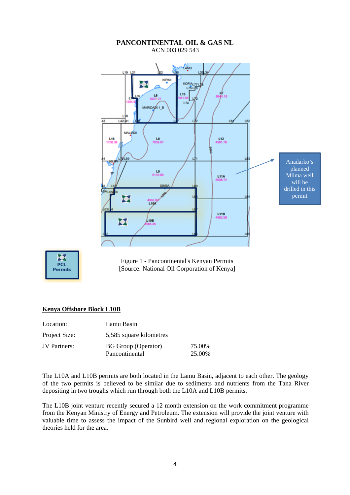#### **PANCONTINENTAL OIL & GAS NL**  ACN 003 029 543 **CAMU** KIPINI × **VOID** L75LT6 **L15** L6 1.74 **MARIDADI1B** 43 142141 ue **MALINDE** L16<br>1758.3 LB<br>7039.07 L12<br>4981.78 Anadarko's planned  $\frac{19}{5110.06}$ Mlima well L11A will be AS L69 drilled in this permit × **L104** L11B × L10B



Figure 1 - Pancontinental's Kenyan Permits [Source: National Oil Corporation of Kenya]

#### **Kenya Offshore Block L10B**

| Location:           | Lamu Basin                                   |                  |
|---------------------|----------------------------------------------|------------------|
| Project Size:       | 5,585 square kilometres                      |                  |
| <b>JV</b> Partners: | <b>BG</b> Group (Operator)<br>Pancontinental | 75.00%<br>25.00% |

The L10A and L10B permits are both located in the Lamu Basin, adjacent to each other. The geology of the two permits is believed to be similar due to sediments and nutrients from the Tana River depositing in two troughs which run through both the L10A and L10B permits.

The L10B joint venture recently secured a 12 month extension on the work commitment programme from the Kenyan Ministry of Energy and Petroleum. The extension will provide the joint venture with valuable time to assess the impact of the Sunbird well and regional exploration on the geological theories held for the area.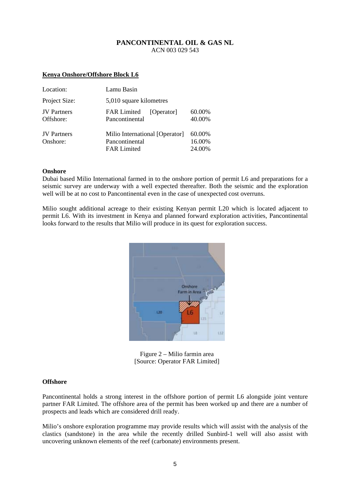#### **Kenya Onshore/Offshore Block L6**

| Location:                       | Lamu Basin                                                             |                            |  |  |
|---------------------------------|------------------------------------------------------------------------|----------------------------|--|--|
| Project Size:                   | 5,010 square kilometres                                                |                            |  |  |
| <b>JV</b> Partners<br>Offshore: | <b>FAR Limited</b><br>[Operator]<br>Pancontinental                     | 60.00%<br>40.00%           |  |  |
| <b>JV</b> Partners<br>Onshore:  | Milio International [Operator]<br>Pancontinental<br><b>FAR Limited</b> | 60.00%<br>16.00%<br>24.00% |  |  |

#### **Onshore**

Dubai based Milio International farmed in to the onshore portion of permit L6 and preparations for a seismic survey are underway with a well expected thereafter. Both the seismic and the exploration well will be at no cost to Pancontinental even in the case of unexpected cost overruns.

Milio sought additional acreage to their existing Kenyan permit L20 which is located adjacent to permit L6. With its investment in Kenya and planned forward exploration activities, Pancontinental looks forward to the results that Milio will produce in its quest for exploration success.



Figure 2 – Milio farmin area [Source: Operator FAR Limited]

#### **Offshore**

Pancontinental holds a strong interest in the offshore portion of permit L6 alongside joint venture partner FAR Limited. The offshore area of the permit has been worked up and there are a number of prospects and leads which are considered drill ready.

Milio's onshore exploration programme may provide results which will assist with the analysis of the clastics (sandstone) in the area while the recently drilled Sunbird-1 well will also assist with uncovering unknown elements of the reef (carbonate) environments present.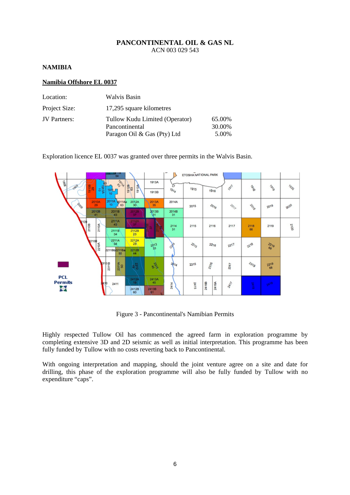#### **NAMIBIA**

#### **Namibia Offshore EL 0037**

| Location:     | Walvis Basin                                     |                  |
|---------------|--------------------------------------------------|------------------|
| Project Size: | 17,295 square kilometres                         |                  |
| JV Partners:  | Tullow Kudu Limited (Operator)<br>Pancontinental | 65.00%<br>30.00% |
|               | Paragon Oil & Gas (Pty) Ltd                      | 5.00%            |

Exploration licence EL 0037 was granted over three permits in the Walvis Basin.



Figure 3 - Pancontinental's Namibian Permits

Highly respected Tullow Oil has commenced the agreed farm in exploration programme by completing extensive 3D and 2D seismic as well as initial interpretation. This programme has been fully funded by Tullow with no costs reverting back to Pancontinental.

With ongoing interpretation and mapping, should the joint venture agree on a site and date for drilling, this phase of the exploration programme will also be fully funded by Tullow with no expenditure "caps".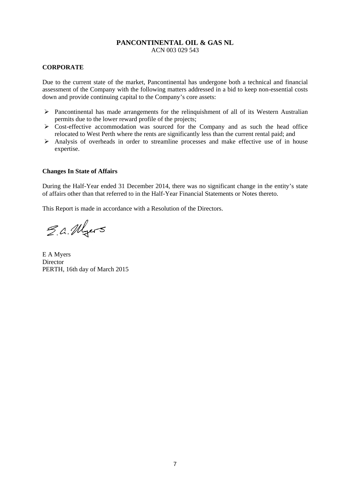#### **CORPORATE**

Due to the current state of the market, Pancontinental has undergone both a technical and financial assessment of the Company with the following matters addressed in a bid to keep non-essential costs down and provide continuing capital to the Company's core assets:

- $\triangleright$  Pancontinental has made arrangements for the relinquishment of all of its Western Australian permits due to the lower reward profile of the projects;
- $\triangleright$  Cost-effective accommodation was sourced for the Company and as such the head office relocated to West Perth where the rents are significantly less than the current rental paid; and
- $\triangleright$  Analysis of overheads in order to streamline processes and make effective use of in house expertise.

#### **Changes In State of Affairs**

During the Half-Year ended 31 December 2014, there was no significant change in the entity's state of affairs other than that referred to in the Half-Year Financial Statements or Notes thereto.

This Report is made in accordance with a Resolution of the Directors.

E.a. Myers

E A Myers **Director** PERTH, 16th day of March 2015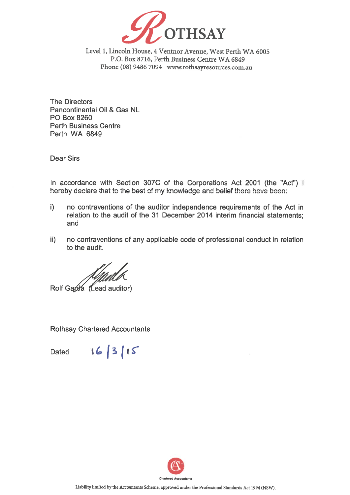

Level 1, Lincoln House, 4 Ventnor Avenue, West Perth WA 6005 P.O. Box 8716, Perth Business Centre WA 6849 Phone (08) 9486 7094 www.rothsayresources.com.au

**The Directors** Pancontinental Oil & Gas NL **PO Box 8260 Perth Business Centre** Perth WA 6849

**Dear Sirs** 

In accordance with Section 307C of the Corporations Act 2001 (the "Act") I hereby declare that to the best of my knowledge and belief there have been:

- $\mathbf{i}$ no contraventions of the auditor independence requirements of the Act in relation to the audit of the 31 December 2014 interim financial statements; and
- $\mathsf{ii}$ no contraventions of any applicable code of professional conduct in relation to the audit.

Rolf Garda (Lead auditor)

**Rothsay Chartered Accountants** 

16/3/15 **Dated** 

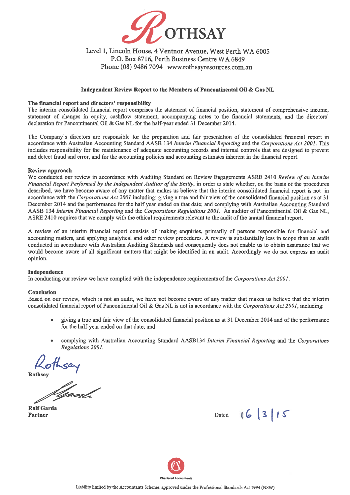

#### Level 1. Lincoln House. 4 Ventnor Avenue, West Perth WA 6005 P.O. Box 8716, Perth Business Centre WA 6849 Phone (08) 9486 7094 www.rothsayresources.com.au

#### Independent Review Report to the Members of Pancontinental Oil & Gas NL

#### The financial report and directors' responsibility

The interim consolidated financial report comprises the statement of financial position, statement of comprehensive income, statement of changes in equity, cashflow statement, accompanying notes to the financial statements, and the directors' declaration for Pancontinental Oil & Gas NL for the half-year ended 31 December 2014.

The Company's directors are responsible for the preparation and fair presentation of the consolidated financial report in accordance with Australian Accounting Standard AASB 134 Interim Financial Reporting and the Corporations Act 2001. This includes responsibility for the maintenance of adequate accounting records and internal controls that are designed to prevent and detect fraud and error, and for the accounting policies and accounting estimates inherent in the financial report.

#### Review approach

We conducted our review in accordance with Auditing Standard on Review Engagements ASRE 2410 Review of an Interim Financial Report Performed by the Independent Auditor of the Entity, in order to state whether, on the basis of the procedures described, we have become aware of any matter that makes us believe that the interim consolidated financial report is not in accordance with the Corporations Act 2001 including; giving a true and fair view of the consolidated financial position as at 31 December 2014 and the performance for the half year ended on that date; and complying with Australian Accounting Standard AASB 134 Interim Financial Reporting and the Corporations Regulations 2001. As auditor of Pancontinental Oil & Gas NL, ASRE 2410 requires that we comply with the ethical requirements relevant to the audit of the annual financial report.

A review of an interim financial report consists of making enquiries, primarily of persons responsible for financial and accounting matters, and applying analytical and other review procedures. A review is substantially less in scope than an audit conducted in accordance with Australian Auditing Standards and consequently does not enable us to obtain assurance that we would become aware of all significant matters that might be identified in an audit. Accordingly we do not express an audit opinion.

#### Independence

In conducting our review we have complied with the independence requirements of the Corporations Act 2001.

#### **Conclusion**

Based on our review, which is not an audit, we have not become aware of any matter that makes us believe that the interim consolidated financial report of Pancontinental Oil & Gas NL is not in accordance with the Corporations Act 2001, including:

- giving a true and fair view of the consolidated financial position as at 31 December 2014 and of the performance for the half-year ended on that date; and
- complying with Australian Accounting Standard AASB134 Interim Financial Reporting and the Corporations Regulations 2001.

Rothsay

**Rolf Garda Partner** 

Dated 16 3 15

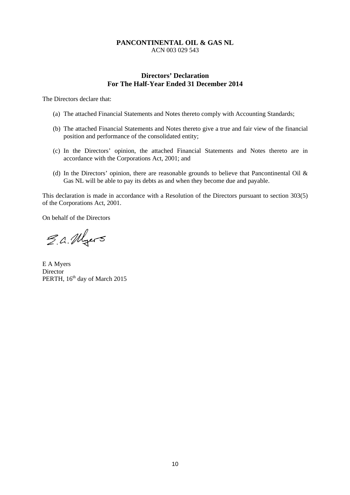#### **Directors' Declaration For The Half-Year Ended 31 December 2014**

The Directors declare that:

- (a) The attached Financial Statements and Notes thereto comply with Accounting Standards;
- (b) The attached Financial Statements and Notes thereto give a true and fair view of the financial position and performance of the consolidated entity;
- (c) In the Directors' opinion, the attached Financial Statements and Notes thereto are in accordance with the Corporations Act, 2001; and
- (d) In the Directors' opinion, there are reasonable grounds to believe that Pancontinental Oil  $\&$ Gas NL will be able to pay its debts as and when they become due and payable.

This declaration is made in accordance with a Resolution of the Directors pursuant to section 303(5) of the Corporations Act, 2001.

On behalf of the Directors

E.a. Myers

E A Myers Director PERTH, 16<sup>th</sup> day of March 2015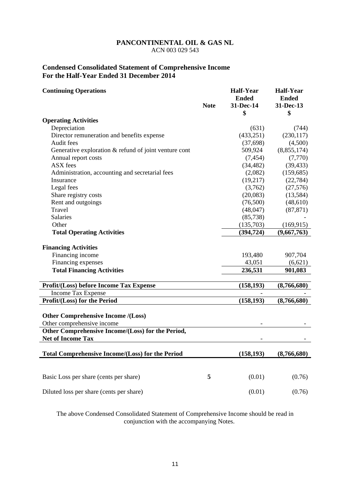#### **Condensed Consolidated Statement of Comprehensive Income For the Half-Year Ended 31 December 2014**

| <b>Continuing Operations</b>                            |             | <b>Half-Year</b><br><b>Ended</b> | <b>Half-Year</b><br><b>Ended</b> |
|---------------------------------------------------------|-------------|----------------------------------|----------------------------------|
|                                                         | <b>Note</b> | 31-Dec-14                        | 31-Dec-13                        |
|                                                         |             | \$                               | \$                               |
| <b>Operating Activities</b>                             |             |                                  |                                  |
| Depreciation                                            |             | (631)                            | (744)                            |
| Director remuneration and benefits expense              |             | (433, 251)                       | (230, 117)                       |
| Audit fees                                              |             | (37,698)                         | (4,500)                          |
| Generative exploration $&$ refund of joint venture cont |             | 509,924                          | (8,855,174)                      |
| Annual report costs                                     |             | (7, 454)                         | (7,770)                          |
| ASX fees                                                |             | (34, 482)                        | (39, 433)                        |
| Administration, accounting and secretarial fees         |             | (2,082)                          | (159, 685)                       |
| Insurance                                               |             | (19,217)                         | (22, 784)                        |
| Legal fees                                              |             | (3,762)                          | (27, 576)                        |
| Share registry costs                                    |             | (20,083)                         | (13,584)                         |
| Rent and outgoings                                      |             | (76,500)                         | (48,610)                         |
| Travel                                                  |             | (48, 047)                        | (87, 871)                        |
| Salaries                                                |             | (85, 738)                        |                                  |
| Other                                                   |             | (135,703)                        | (169, 915)                       |
| <b>Total Operating Activities</b>                       |             | (394, 724)                       | (9,667,763)                      |
| <b>Financing Activities</b>                             |             |                                  |                                  |
| Financing income                                        |             | 193,480                          | 907,704                          |
| Financing expenses                                      |             | 43,051                           | (6,621)                          |
| <b>Total Financing Activities</b>                       |             | 236,531                          | 901,083                          |
|                                                         |             |                                  |                                  |
| Profit/(Loss) before Income Tax Expense                 |             | (158, 193)                       | (8,766,680)                      |
| Income Tax Expense                                      |             |                                  |                                  |
| Profit/(Loss) for the Period                            |             | (158, 193)                       | (8,766,680)                      |
| <b>Other Comprehensive Income /(Loss)</b>               |             |                                  |                                  |
| Other comprehensive income                              |             |                                  |                                  |
| Other Comprehensive Income/(Loss) for the Period,       |             |                                  |                                  |
| <b>Net of Income Tax</b>                                |             |                                  |                                  |
|                                                         |             |                                  |                                  |
| <b>Total Comprehensive Income/(Loss) for the Period</b> |             | (158, 193)                       | (8,766,680)                      |
|                                                         |             |                                  |                                  |
| Basic Loss per share (cents per share)                  | 5           | (0.01)                           | (0.76)                           |
| Diluted loss per share (cents per share)                |             | (0.01)                           | (0.76)                           |

The above Condensed Consolidated Statement of Comprehensive Income should be read in conjunction with the accompanying Notes.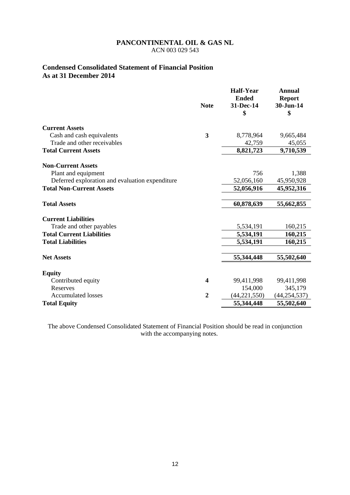#### **Condensed Consolidated Statement of Financial Position As at 31 December 2014**

|                                                 | <b>Note</b>    | <b>Half-Year</b><br><b>Ended</b><br>31-Dec-14<br>\$ | <b>Annual</b><br><b>Report</b><br>30-Jun-14<br>\$ |
|-------------------------------------------------|----------------|-----------------------------------------------------|---------------------------------------------------|
| <b>Current Assets</b>                           |                |                                                     |                                                   |
| Cash and cash equivalents                       | 3              | 8,778,964                                           | 9,665,484                                         |
| Trade and other receivables                     |                | 42,759                                              | 45,055                                            |
| <b>Total Current Assets</b>                     |                | 8,821,723                                           | 9,710,539                                         |
| <b>Non-Current Assets</b>                       |                |                                                     |                                                   |
| Plant and equipment                             |                | 756                                                 | 1,388                                             |
| Deferred exploration and evaluation expenditure |                | 52,056,160                                          | 45,950,928                                        |
| <b>Total Non-Current Assets</b>                 |                | 52,056,916                                          | 45,952,316                                        |
| <b>Total Assets</b>                             |                | 60,878,639                                          | 55,662,855                                        |
| <b>Current Liabilities</b>                      |                |                                                     |                                                   |
| Trade and other payables                        |                | 5,534,191                                           | 160,215                                           |
| <b>Total Current Liabilities</b>                |                | 5,534,191                                           | 160,215                                           |
| <b>Total Liabilities</b>                        |                | 5,534,191                                           | 160,215                                           |
| <b>Net Assets</b>                               |                | 55,344,448                                          | 55,502,640                                        |
| <b>Equity</b>                                   |                |                                                     |                                                   |
| Contributed equity                              | 4              | 99,411,998                                          | 99,411,998                                        |
| <b>Reserves</b>                                 |                | 154,000                                             | 345,179                                           |
| <b>Accumulated losses</b>                       | $\overline{2}$ | (44, 221, 550)                                      | (44, 254, 537)                                    |
| <b>Total Equity</b>                             |                | 55,344,448                                          | 55,502,640                                        |

The above Condensed Consolidated Statement of Financial Position should be read in conjunction with the accompanying notes.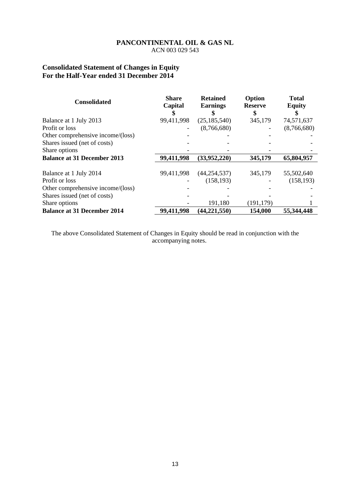#### **Consolidated Statement of Changes in Equity For the Half-Year ended 31 December 2014**

| <b>Consolidated</b>                | <b>Share</b><br>Capital | <b>Retained</b><br><b>Earnings</b> | Option<br><b>Reserve</b> | <b>Total</b><br><b>Equity</b> |
|------------------------------------|-------------------------|------------------------------------|--------------------------|-------------------------------|
| Balance at 1 July 2013             | 99,411,998              | (25, 185, 540)                     | 345,179                  | 74,571,637                    |
| Profit or loss                     |                         | (8,766,680)                        |                          | (8,766,680)                   |
| Other comprehensive income/(loss)  |                         |                                    |                          |                               |
| Shares issued (net of costs)       |                         |                                    |                          |                               |
| Share options                      |                         |                                    |                          |                               |
| <b>Balance at 31 December 2013</b> | 99,411,998              | (33,952,220)                       | 345,179                  | 65,804,957                    |
| Balance at 1 July 2014             | 99,411,998              | (44, 254, 537)                     | 345,179                  | 55,502,640                    |
| Profit or loss                     |                         | (158, 193)                         |                          | (158, 193)                    |
| Other comprehensive income/(loss)  |                         |                                    |                          |                               |
| Shares issued (net of costs)       |                         |                                    |                          |                               |
| Share options                      |                         | 191,180                            | (191, 179)               |                               |
| <b>Balance at 31 December 2014</b> | 99,411,998              | (44, 221, 550)                     | 154,000                  | 55,344,448                    |

The above Consolidated Statement of Changes in Equity should be read in conjunction with the accompanying notes.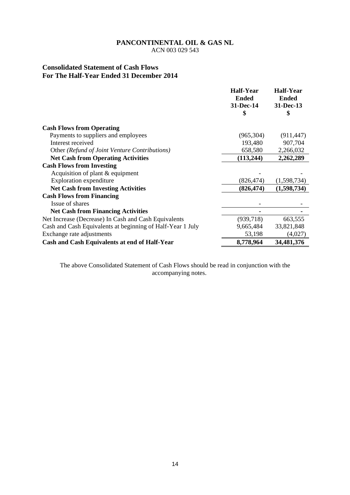ACN 003 029 543

#### **Consolidated Statement of Cash Flows For The Half-Year Ended 31 December 2014**

|                                                            | <b>Half-Year</b> | <b>Half-Year</b> |
|------------------------------------------------------------|------------------|------------------|
|                                                            | <b>Ended</b>     | <b>Ended</b>     |
|                                                            | 31-Dec-14        | 31-Dec-13        |
|                                                            | \$               | \$               |
| <b>Cash Flows from Operating</b>                           |                  |                  |
| Payments to suppliers and employees                        | (965, 304)       | (911, 447)       |
| Interest received                                          | 193,480          | 907,704          |
| Other (Refund of Joint Venture Contributions)              | 658,580          | 2,266,032        |
| <b>Net Cash from Operating Activities</b>                  | (113, 244)       | 2,262,289        |
| <b>Cash Flows from Investing</b>                           |                  |                  |
| Acquisition of plant $&$ equipment                         |                  |                  |
| <b>Exploration</b> expenditure                             | (826, 474)       | (1,598,734)      |
| <b>Net Cash from Investing Activities</b>                  | (826, 474)       | (1,598,734)      |
| <b>Cash Flows from Financing</b>                           |                  |                  |
| Issue of shares                                            |                  |                  |
| <b>Net Cash from Financing Activities</b>                  |                  |                  |
| Net Increase (Decrease) In Cash and Cash Equivalents       | (939, 718)       | 663,555          |
| Cash and Cash Equivalents at beginning of Half-Year 1 July | 9,665,484        | 33,821,848       |
| Exchange rate adjustments                                  | 53,198           | (4,027)          |
| Cash and Cash Equivalents at end of Half-Year              | 8,778,964        | 34,481,376       |

The above Consolidated Statement of Cash Flows should be read in conjunction with the accompanying notes.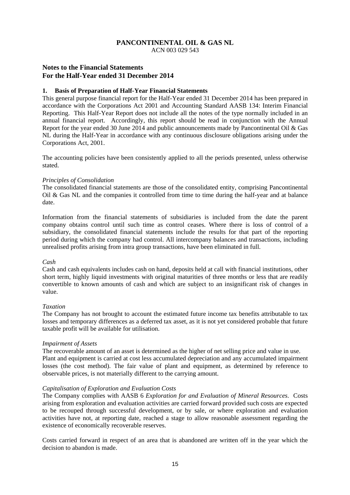ACN 003 029 543

#### **Notes to the Financial Statements For the Half-Year ended 31 December 2014**

#### **1. Basis of Preparation of Half-Year Financial Statements**

This general purpose financial report for the Half-Year ended 31 December 2014 has been prepared in accordance with the Corporations Act 2001 and Accounting Standard AASB 134: Interim Financial Reporting. This Half-Year Report does not include all the notes of the type normally included in an annual financial report. Accordingly, this report should be read in conjunction with the Annual Report for the year ended 30 June 2014 and public announcements made by Pancontinental Oil & Gas NL during the Half-Year in accordance with any continuous disclosure obligations arising under the Corporations Act, 2001.

The accounting policies have been consistently applied to all the periods presented, unless otherwise stated.

#### *Principles of Consolidation*

The consolidated financial statements are those of the consolidated entity, comprising Pancontinental Oil & Gas NL and the companies it controlled from time to time during the half-year and at balance date.

Information from the financial statements of subsidiaries is included from the date the parent company obtains control until such time as control ceases. Where there is loss of control of a subsidiary, the consolidated financial statements include the results for that part of the reporting period during which the company had control. All intercompany balances and transactions, including unrealised profits arising from intra group transactions, have been eliminated in full.

#### *Cash*

Cash and cash equivalents includes cash on hand, deposits held at call with financial institutions, other short term, highly liquid investments with original maturities of three months or less that are readily convertible to known amounts of cash and which are subject to an insignificant risk of changes in value.

#### *Taxation*

The Company has not brought to account the estimated future income tax benefits attributable to tax losses and temporary differences as a deferred tax asset, as it is not yet considered probable that future taxable profit will be available for utilisation.

#### *Impairment of Assets*

The recoverable amount of an asset is determined as the higher of net selling price and value in use. Plant and equipment is carried at cost less accumulated depreciation and any accumulated impairment losses (the cost method). The fair value of plant and equipment, as determined by reference to observable prices, is not materially different to the carrying amount.

#### *Capitalisation of Exploration and Evaluation Costs*

The Company complies with AASB 6 *Exploration for and Evaluation of Mineral Resources*. Costs arising from exploration and evaluation activities are carried forward provided such costs are expected to be recouped through successful development, or by sale, or where exploration and evaluation activities have not, at reporting date, reached a stage to allow reasonable assessment regarding the existence of economically recoverable reserves.

Costs carried forward in respect of an area that is abandoned are written off in the year which the decision to abandon is made.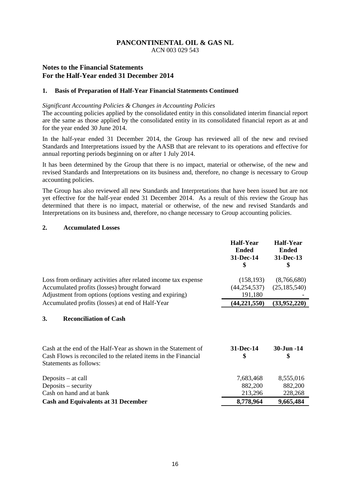ACN 003 029 543

#### **Notes to the Financial Statements For the Half-Year ended 31 December 2014**

#### **1. Basis of Preparation of Half-Year Financial Statements Continued**

#### *Significant Accounting Policies & Changes in Accounting Policies*

The accounting policies applied by the consolidated entity in this consolidated interim financial report are the same as those applied by the consolidated entity in its consolidated financial report as at and for the year ended 30 June 2014.

In the half-year ended 31 December 2014, the Group has reviewed all of the new and revised Standards and Interpretations issued by the AASB that are relevant to its operations and effective for annual reporting periods beginning on or after 1 July 2014.

It has been determined by the Group that there is no impact, material or otherwise, of the new and revised Standards and Interpretations on its business and, therefore, no change is necessary to Group accounting policies.

The Group has also reviewed all new Standards and Interpretations that have been issued but are not yet effective for the half-year ended 31 December 2014. As a result of this review the Group has determined that there is no impact, material or otherwise, of the new and revised Standards and Interpretations on its business and, therefore, no change necessary to Group accounting policies.

#### **2. Accumulated Losses**

|                                                                                                                                                                          | <b>Half-Year</b><br><b>Ended</b><br>31-Dec-14<br>\$ | <b>Half-Year</b><br><b>Ended</b><br>31-Dec-13<br>\$ |
|--------------------------------------------------------------------------------------------------------------------------------------------------------------------------|-----------------------------------------------------|-----------------------------------------------------|
| Loss from ordinary activities after related income tax expense<br>Accumulated profits (losses) brought forward<br>Adjustment from options (options vesting and expiring) | (158, 193)<br>(44, 254, 537)<br>191,180             | (8,766,680)<br>(25, 185, 540)                       |
| Accumulated profits (losses) at end of Half-Year                                                                                                                         | (44, 221, 550)                                      | (33,952,220)                                        |
| 3.<br><b>Reconciliation of Cash</b>                                                                                                                                      |                                                     |                                                     |
| Cash at the end of the Half-Year as shown in the Statement of<br>Cash Flows is reconciled to the related items in the Financial<br>Statements as follows:                | 31-Dec-14<br>\$                                     | 30-Jun -14<br>\$                                    |
| Deposits $-$ at call<br>Deposits – security<br>Cash on hand and at bank                                                                                                  | 7,683,468<br>882,200<br>213,296                     | 8,555,016<br>882,200<br>228,268                     |
| <b>Cash and Equivalents at 31 December</b>                                                                                                                               | 8,778,964                                           | 9,665,484                                           |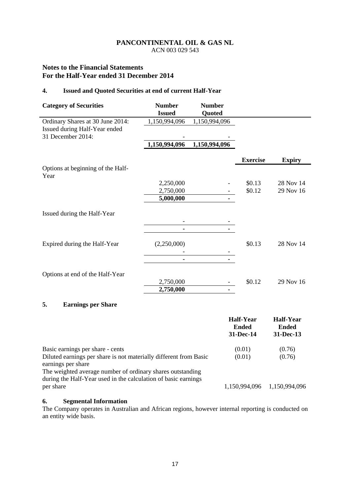ACN 003 029 543

#### **Notes to the Financial Statements For the Half-Year ended 31 December 2014**

#### **4. Issued and Quoted Securities at end of current Half-Year**

| <b>Category of Securities</b>                      | <b>Number</b><br><b>Issued</b> | <b>Number</b><br>Quoted |                  |               |
|----------------------------------------------------|--------------------------------|-------------------------|------------------|---------------|
| Ordinary Shares at 30 June 2014:                   | 1,150,994,096                  | 1,150,994,096           |                  |               |
| Issued during Half-Year ended<br>31 December 2014: |                                |                         |                  |               |
|                                                    | 1,150,994,096                  | 1,150,994,096           |                  |               |
|                                                    |                                |                         | <b>Exercise</b>  | <b>Expiry</b> |
| Options at beginning of the Half-<br>Year          |                                |                         |                  |               |
|                                                    | 2,250,000                      |                         | \$0.13           | 28 Nov 14     |
|                                                    | 2,750,000                      |                         | \$0.12           | 29 Nov 16     |
|                                                    | 5,000,000                      |                         |                  |               |
| Issued during the Half-Year                        |                                |                         |                  |               |
|                                                    |                                | ۰                       |                  |               |
|                                                    |                                |                         |                  |               |
| Expired during the Half-Year                       | (2,250,000)                    |                         | \$0.13           | 28 Nov 14     |
|                                                    |                                |                         |                  |               |
|                                                    |                                |                         |                  |               |
| Options at end of the Half-Year                    |                                |                         |                  |               |
|                                                    | 2,750,000                      |                         | \$0.12           | 29 Nov 16     |
|                                                    | 2,750,000                      | ٠                       |                  |               |
| 5.<br><b>Earnings per Share</b>                    |                                |                         |                  |               |
|                                                    |                                |                         | <b>Half-Year</b> | Half-Year     |

|                                                                                                                              | <b>Ended</b><br>31-Dec-14   | <b>Ended</b><br>31-Dec-13 |
|------------------------------------------------------------------------------------------------------------------------------|-----------------------------|---------------------------|
| Basic earnings per share - cents                                                                                             | (0.01)                      | (0.76)                    |
| Diluted earnings per share is not materially different from Basic<br>earnings per share                                      | (0.01)                      | (0.76)                    |
| The weighted average number of ordinary shares outstanding<br>during the Half-Year used in the calculation of basic earnings |                             |                           |
| per share                                                                                                                    | 1,150,994,096 1,150,994,096 |                           |

#### **6. Segmental Information**

The Company operates in Australian and African regions, however internal reporting is conducted on an entity wide basis.